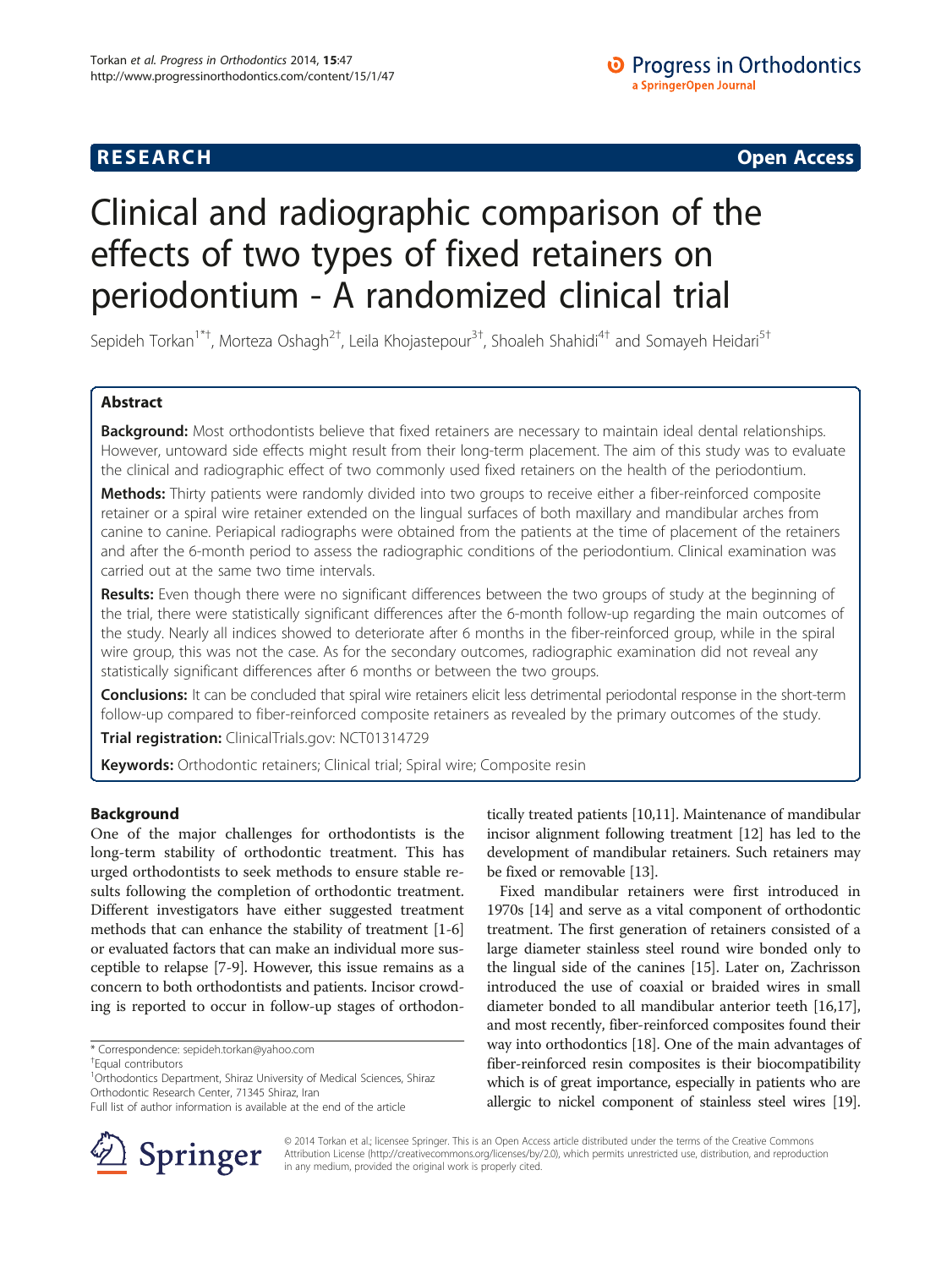## **RESEARCH CHE Open Access**

# Clinical and radiographic comparison of the effects of two types of fixed retainers on periodontium - A randomized clinical trial

Sepideh Torkan<sup>1\*†</sup>, Morteza Oshagh<sup>2†</sup>, Leila Khojastepour<sup>3†</sup>, Shoaleh Shahidi<sup>4†</sup> and Somayeh Heidari<sup>5†</sup>

## Abstract

Background: Most orthodontists believe that fixed retainers are necessary to maintain ideal dental relationships. However, untoward side effects might result from their long-term placement. The aim of this study was to evaluate the clinical and radiographic effect of two commonly used fixed retainers on the health of the periodontium.

Methods: Thirty patients were randomly divided into two groups to receive either a fiber-reinforced composite retainer or a spiral wire retainer extended on the lingual surfaces of both maxillary and mandibular arches from canine to canine. Periapical radiographs were obtained from the patients at the time of placement of the retainers and after the 6-month period to assess the radiographic conditions of the periodontium. Clinical examination was carried out at the same two time intervals.

Results: Even though there were no significant differences between the two groups of study at the beginning of the trial, there were statistically significant differences after the 6-month follow-up regarding the main outcomes of the study. Nearly all indices showed to deteriorate after 6 months in the fiber-reinforced group, while in the spiral wire group, this was not the case. As for the secondary outcomes, radiographic examination did not reveal any statistically significant differences after 6 months or between the two groups.

Conclusions: It can be concluded that spiral wire retainers elicit less detrimental periodontal response in the short-term follow-up compared to fiber-reinforced composite retainers as revealed by the primary outcomes of the study.

Trial registration: ClinicalTrials.gov: [NCT01314729](http://clinicaltrials.gov/show/NCT01314729?displayxml=true)

Keywords: Orthodontic retainers; Clinical trial; Spiral wire; Composite resin

## Background

One of the major challenges for orthodontists is the long-term stability of orthodontic treatment. This has urged orthodontists to seek methods to ensure stable results following the completion of orthodontic treatment. Different investigators have either suggested treatment methods that can enhance the stability of treatment [\[1](#page-6-0)-[6](#page-6-0)] or evaluated factors that can make an individual more susceptible to relapse [[7-9\]](#page-6-0). However, this issue remains as a concern to both orthodontists and patients. Incisor crowding is reported to occur in follow-up stages of orthodon-

<sup>1</sup>Orthodontics Department, Shiraz University of Medical Sciences, Shiraz Orthodontic Research Center, 71345 Shiraz, Iran



Fixed mandibular retainers were first introduced in 1970s [\[14\]](#page-6-0) and serve as a vital component of orthodontic treatment. The first generation of retainers consisted of a large diameter stainless steel round wire bonded only to the lingual side of the canines [\[15\]](#page-6-0). Later on, Zachrisson introduced the use of coaxial or braided wires in small diameter bonded to all mandibular anterior teeth [\[16,17](#page-6-0)], and most recently, fiber-reinforced composites found their way into orthodontics [\[18\]](#page-6-0). One of the main advantages of fiber-reinforced resin composites is their biocompatibility which is of great importance, especially in patients who are allergic to nickel component of stainless steel wires [\[19](#page-6-0)].



© 2014 Torkan et al.; licensee Springer. This is an Open Access article distributed under the terms of the Creative Commons Attribution License (http://creativecommons.org/licenses/by/2.0), which permits unrestricted use, distribution, and reproduction in any medium, provided the original work is properly cited.

<sup>\*</sup> Correspondence: [sepideh.torkan@yahoo.com](mailto:sepideh.torkan@yahoo.com) †

Equal contributors

Full list of author information is available at the end of the article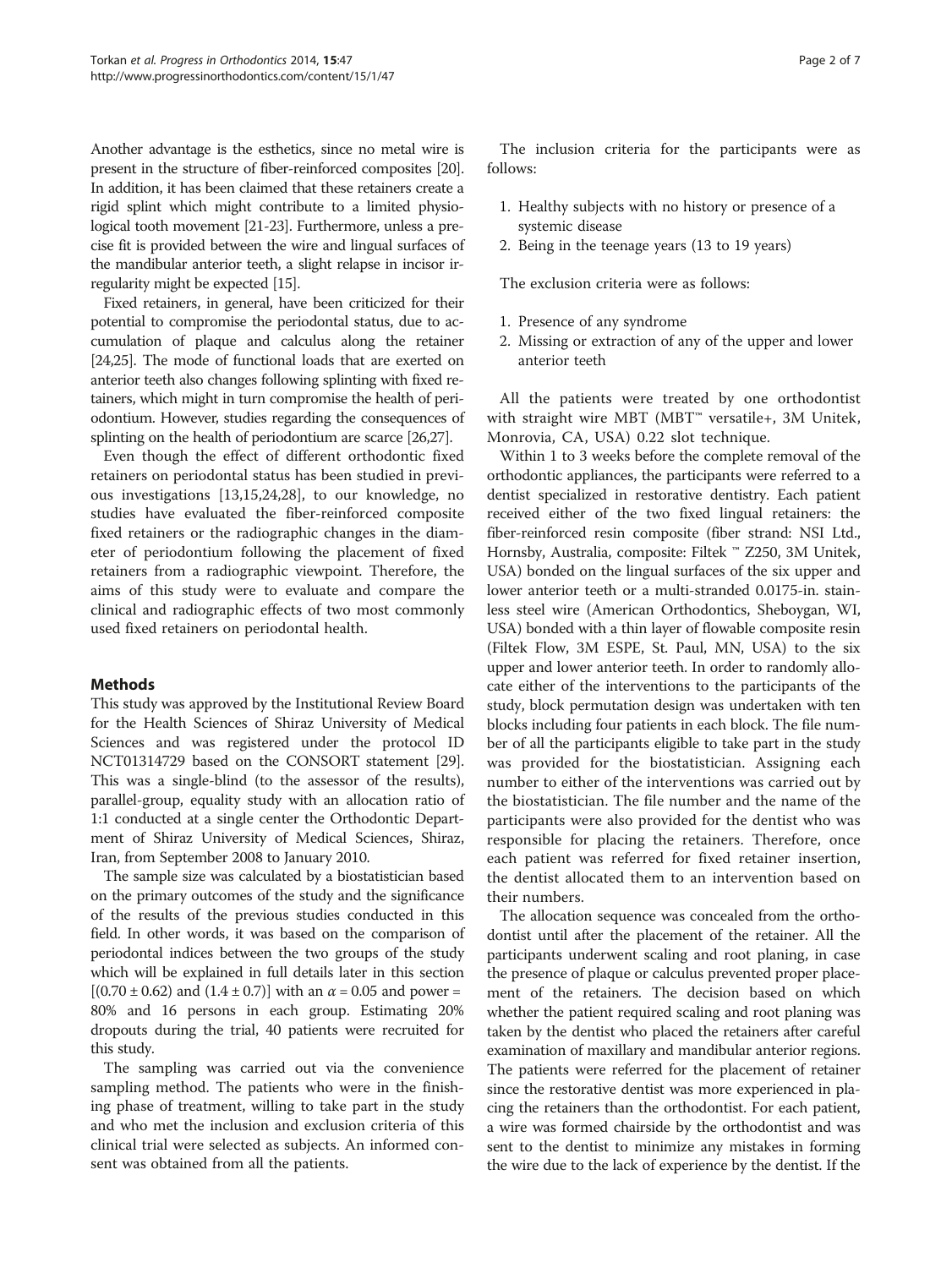Another advantage is the esthetics, since no metal wire is present in the structure of fiber-reinforced composites [\[20](#page-6-0)]. In addition, it has been claimed that these retainers create a rigid splint which might contribute to a limited physiological tooth movement [[21-23\]](#page-6-0). Furthermore, unless a precise fit is provided between the wire and lingual surfaces of the mandibular anterior teeth, a slight relapse in incisor irregularity might be expected [[15\]](#page-6-0).

Fixed retainers, in general, have been criticized for their potential to compromise the periodontal status, due to accumulation of plaque and calculus along the retainer [[24,25](#page-6-0)]. The mode of functional loads that are exerted on anterior teeth also changes following splinting with fixed retainers, which might in turn compromise the health of periodontium. However, studies regarding the consequences of splinting on the health of periodontium are scarce [[26,27](#page-6-0)].

Even though the effect of different orthodontic fixed retainers on periodontal status has been studied in previous investigations [\[13,15,24,28\]](#page-6-0), to our knowledge, no studies have evaluated the fiber-reinforced composite fixed retainers or the radiographic changes in the diameter of periodontium following the placement of fixed retainers from a radiographic viewpoint. Therefore, the aims of this study were to evaluate and compare the clinical and radiographic effects of two most commonly used fixed retainers on periodontal health.

## Methods

This study was approved by the Institutional Review Board for the Health Sciences of Shiraz University of Medical Sciences and was registered under the protocol ID NCT01314729 based on the CONSORT statement [[29](#page-6-0)]. This was a single-blind (to the assessor of the results), parallel-group, equality study with an allocation ratio of 1:1 conducted at a single center the Orthodontic Department of Shiraz University of Medical Sciences, Shiraz, Iran, from September 2008 to January 2010.

The sample size was calculated by a biostatistician based on the primary outcomes of the study and the significance of the results of the previous studies conducted in this field. In other words, it was based on the comparison of periodontal indices between the two groups of the study which will be explained in full details later in this section  $[(0.70 \pm 0.62)$  and  $(1.4 \pm 0.7)]$  with an  $\alpha = 0.05$  and power = 80% and 16 persons in each group. Estimating 20% dropouts during the trial, 40 patients were recruited for this study.

The sampling was carried out via the convenience sampling method. The patients who were in the finishing phase of treatment, willing to take part in the study and who met the inclusion and exclusion criteria of this clinical trial were selected as subjects. An informed consent was obtained from all the patients.

The inclusion criteria for the participants were as follows:

- 1. Healthy subjects with no history or presence of a systemic disease
- 2. Being in the teenage years (13 to 19 years)

The exclusion criteria were as follows:

- 1. Presence of any syndrome
- 2. Missing or extraction of any of the upper and lower anterior teeth

All the patients were treated by one orthodontist with straight wire MBT (MBT™ versatile+, 3M Unitek, Monrovia, CA, USA) 0.22 slot technique.

Within 1 to 3 weeks before the complete removal of the orthodontic appliances, the participants were referred to a dentist specialized in restorative dentistry. Each patient received either of the two fixed lingual retainers: the fiber-reinforced resin composite (fiber strand: NSI Ltd., Hornsby, Australia, composite: Filtek ™ Z250, 3M Unitek, USA) bonded on the lingual surfaces of the six upper and lower anterior teeth or a multi-stranded 0.0175-in. stainless steel wire (American Orthodontics, Sheboygan, WI, USA) bonded with a thin layer of flowable composite resin (Filtek Flow, 3M ESPE, St. Paul, MN, USA) to the six upper and lower anterior teeth. In order to randomly allocate either of the interventions to the participants of the study, block permutation design was undertaken with ten blocks including four patients in each block. The file number of all the participants eligible to take part in the study was provided for the biostatistician. Assigning each number to either of the interventions was carried out by the biostatistician. The file number and the name of the participants were also provided for the dentist who was responsible for placing the retainers. Therefore, once each patient was referred for fixed retainer insertion, the dentist allocated them to an intervention based on their numbers.

The allocation sequence was concealed from the orthodontist until after the placement of the retainer. All the participants underwent scaling and root planing, in case the presence of plaque or calculus prevented proper placement of the retainers. The decision based on which whether the patient required scaling and root planing was taken by the dentist who placed the retainers after careful examination of maxillary and mandibular anterior regions. The patients were referred for the placement of retainer since the restorative dentist was more experienced in placing the retainers than the orthodontist. For each patient, a wire was formed chairside by the orthodontist and was sent to the dentist to minimize any mistakes in forming the wire due to the lack of experience by the dentist. If the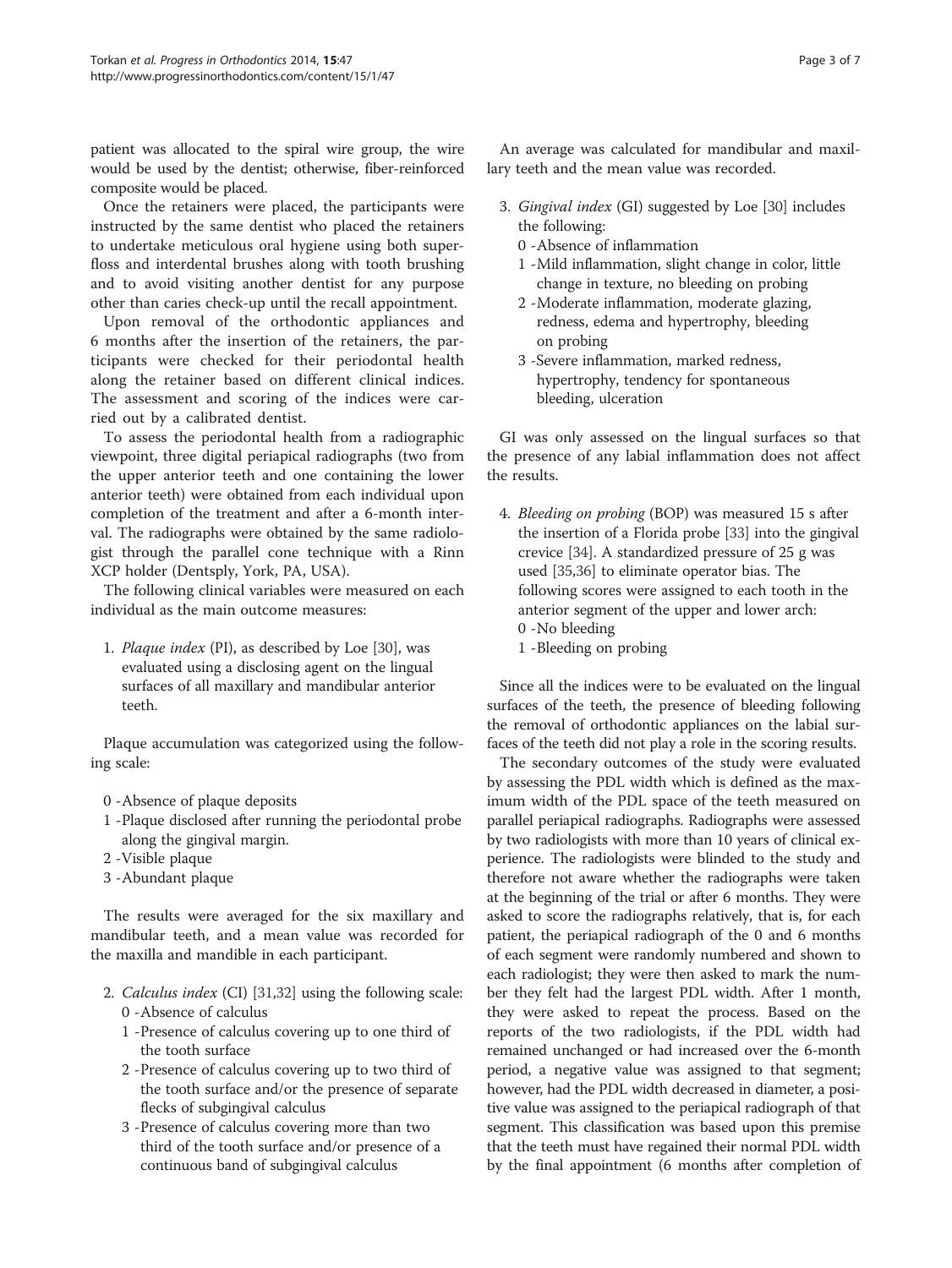patient was allocated to the spiral wire group, the wire would be used by the dentist; otherwise, fiber-reinforced composite would be placed.

Once the retainers were placed, the participants were instructed by the same dentist who placed the retainers to undertake meticulous oral hygiene using both superfloss and interdental brushes along with tooth brushing and to avoid visiting another dentist for any purpose other than caries check-up until the recall appointment.

Upon removal of the orthodontic appliances and 6 months after the insertion of the retainers, the participants were checked for their periodontal health along the retainer based on different clinical indices. The assessment and scoring of the indices were carried out by a calibrated dentist.

To assess the periodontal health from a radiographic viewpoint, three digital periapical radiographs (two from the upper anterior teeth and one containing the lower anterior teeth) were obtained from each individual upon completion of the treatment and after a 6-month interval. The radiographs were obtained by the same radiologist through the parallel cone technique with a Rinn XCP holder (Dentsply, York, PA, USA).

The following clinical variables were measured on each individual as the main outcome measures:

1. Plaque index (PI), as described by Loe [\[30\]](#page-6-0), was evaluated using a disclosing agent on the lingual surfaces of all maxillary and mandibular anterior teeth.

Plaque accumulation was categorized using the following scale:

- 0 -Absence of plaque deposits
- 1 -Plaque disclosed after running the periodontal probe along the gingival margin.
- 2 -Visible plaque
- 3 -Abundant plaque

The results were averaged for the six maxillary and mandibular teeth, and a mean value was recorded for the maxilla and mandible in each participant.

- 2. Calculus index (CI) [\[31,32\]](#page-6-0) using the following scale: 0 -Absence of calculus
	- 1 -Presence of calculus covering up to one third of the tooth surface
	- 2 -Presence of calculus covering up to two third of the tooth surface and/or the presence of separate flecks of subgingival calculus
	- 3 -Presence of calculus covering more than two third of the tooth surface and/or presence of a continuous band of subgingival calculus

An average was calculated for mandibular and maxillary teeth and the mean value was recorded.

- 3. Gingival index (GI) suggested by Loe [\[30\]](#page-6-0) includes the following:
	- 0 -Absence of inflammation
	- 1 -Mild inflammation, slight change in color, little change in texture, no bleeding on probing
	- 2 -Moderate inflammation, moderate glazing, redness, edema and hypertrophy, bleeding on probing
	- 3 -Severe inflammation, marked redness, hypertrophy, tendency for spontaneous bleeding, ulceration

GI was only assessed on the lingual surfaces so that the presence of any labial inflammation does not affect the results.

- 4. Bleeding on probing (BOP) was measured 15 s after the insertion of a Florida probe [[33](#page-6-0)] into the gingival crevice [[34](#page-6-0)]. A standardized pressure of 25 g was used [[35](#page-6-0),[36](#page-6-0)] to eliminate operator bias. The following scores were assigned to each tooth in the anterior segment of the upper and lower arch: 0 -No bleeding
	- 1 -Bleeding on probing

Since all the indices were to be evaluated on the lingual surfaces of the teeth, the presence of bleeding following the removal of orthodontic appliances on the labial surfaces of the teeth did not play a role in the scoring results.

The secondary outcomes of the study were evaluated by assessing the PDL width which is defined as the maximum width of the PDL space of the teeth measured on parallel periapical radiographs. Radiographs were assessed by two radiologists with more than 10 years of clinical experience. The radiologists were blinded to the study and therefore not aware whether the radiographs were taken at the beginning of the trial or after 6 months. They were asked to score the radiographs relatively, that is, for each patient, the periapical radiograph of the 0 and 6 months of each segment were randomly numbered and shown to each radiologist; they were then asked to mark the number they felt had the largest PDL width. After 1 month, they were asked to repeat the process. Based on the reports of the two radiologists, if the PDL width had remained unchanged or had increased over the 6-month period, a negative value was assigned to that segment; however, had the PDL width decreased in diameter, a positive value was assigned to the periapical radiograph of that segment. This classification was based upon this premise that the teeth must have regained their normal PDL width by the final appointment (6 months after completion of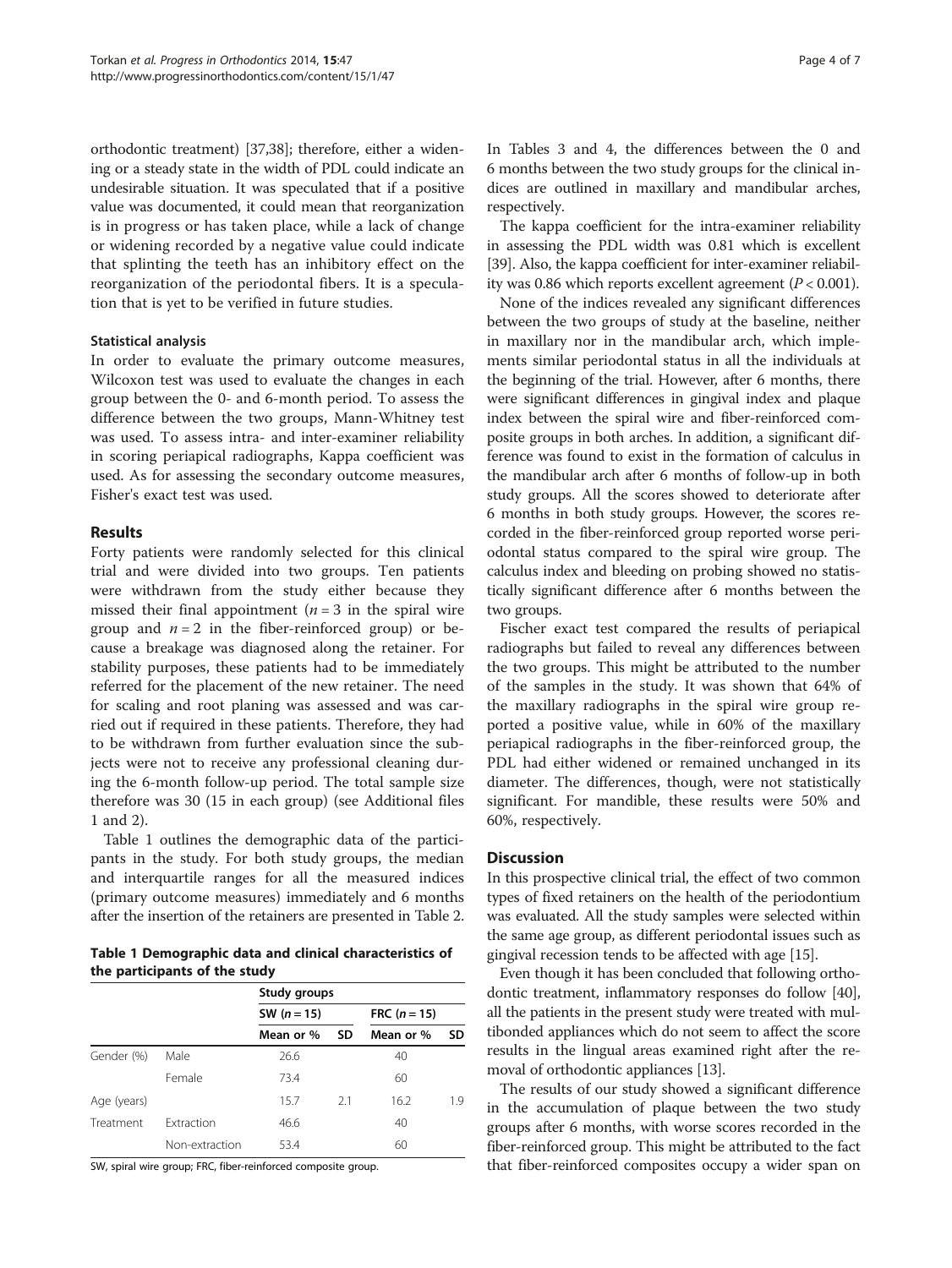orthodontic treatment) [[37,38\]](#page-6-0); therefore, either a widening or a steady state in the width of PDL could indicate an undesirable situation. It was speculated that if a positive value was documented, it could mean that reorganization is in progress or has taken place, while a lack of change or widening recorded by a negative value could indicate that splinting the teeth has an inhibitory effect on the reorganization of the periodontal fibers. It is a speculation that is yet to be verified in future studies.

#### Statistical analysis

In order to evaluate the primary outcome measures, Wilcoxon test was used to evaluate the changes in each group between the 0- and 6-month period. To assess the difference between the two groups, Mann-Whitney test was used. To assess intra- and inter-examiner reliability in scoring periapical radiographs, Kappa coefficient was used. As for assessing the secondary outcome measures, Fisher's exact test was used.

## Results

Forty patients were randomly selected for this clinical trial and were divided into two groups. Ten patients were withdrawn from the study either because they missed their final appointment ( $n = 3$  in the spiral wire group and  $n = 2$  in the fiber-reinforced group) or because a breakage was diagnosed along the retainer. For stability purposes, these patients had to be immediately referred for the placement of the new retainer. The need for scaling and root planing was assessed and was carried out if required in these patients. Therefore, they had to be withdrawn from further evaluation since the subjects were not to receive any professional cleaning during the 6-month follow-up period. The total sample size therefore was 30 (15 in each group) (see Additional files [1](#page-5-0) and [2](#page-5-0)).

Table 1 outlines the demographic data of the participants in the study. For both study groups, the median and interquartile ranges for all the measured indices (primary outcome measures) immediately and 6 months after the insertion of the retainers are presented in Table [2](#page-4-0).

Table 1 Demographic data and clinical characteristics of the participants of the study

|             |                | Study groups  |           |                |           |
|-------------|----------------|---------------|-----------|----------------|-----------|
|             |                | SW $(n = 15)$ |           | FRC $(n = 15)$ |           |
|             |                | Mean or %     | <b>SD</b> | Mean or %      | <b>SD</b> |
| Gender (%)  | Male           | 26.6          |           | 40             |           |
|             | Female         | 73.4          |           | 60             |           |
| Age (years) |                | 15.7          | 2.1       | 16.2           | 1.9       |
| Treatment   | Extraction     | 46.6          |           | 40             |           |
|             | Non-extraction | 53.4          |           | 60             |           |

SW, spiral wire group; FRC, fiber-reinforced composite group.

In Tables [3](#page-4-0) and [4](#page-4-0), the differences between the 0 and 6 months between the two study groups for the clinical indices are outlined in maxillary and mandibular arches, respectively.

The kappa coefficient for the intra-examiner reliability in assessing the PDL width was 0.81 which is excellent [[39](#page-6-0)]. Also, the kappa coefficient for inter-examiner reliability was 0.86 which reports excellent agreement ( $P < 0.001$ ).

None of the indices revealed any significant differences between the two groups of study at the baseline, neither in maxillary nor in the mandibular arch, which implements similar periodontal status in all the individuals at the beginning of the trial. However, after 6 months, there were significant differences in gingival index and plaque index between the spiral wire and fiber-reinforced composite groups in both arches. In addition, a significant difference was found to exist in the formation of calculus in the mandibular arch after 6 months of follow-up in both study groups. All the scores showed to deteriorate after 6 months in both study groups. However, the scores recorded in the fiber-reinforced group reported worse periodontal status compared to the spiral wire group. The calculus index and bleeding on probing showed no statistically significant difference after 6 months between the two groups.

Fischer exact test compared the results of periapical radiographs but failed to reveal any differences between the two groups. This might be attributed to the number of the samples in the study. It was shown that 64% of the maxillary radiographs in the spiral wire group reported a positive value, while in 60% of the maxillary periapical radiographs in the fiber-reinforced group, the PDL had either widened or remained unchanged in its diameter. The differences, though, were not statistically significant. For mandible, these results were 50% and 60%, respectively.

## **Discussion**

In this prospective clinical trial, the effect of two common types of fixed retainers on the health of the periodontium was evaluated. All the study samples were selected within the same age group, as different periodontal issues such as gingival recession tends to be affected with age [\[15\]](#page-6-0).

Even though it has been concluded that following orthodontic treatment, inflammatory responses do follow [[40](#page-6-0)], all the patients in the present study were treated with multibonded appliances which do not seem to affect the score results in the lingual areas examined right after the removal of orthodontic appliances [\[13\]](#page-6-0).

The results of our study showed a significant difference in the accumulation of plaque between the two study groups after 6 months, with worse scores recorded in the fiber-reinforced group. This might be attributed to the fact that fiber-reinforced composites occupy a wider span on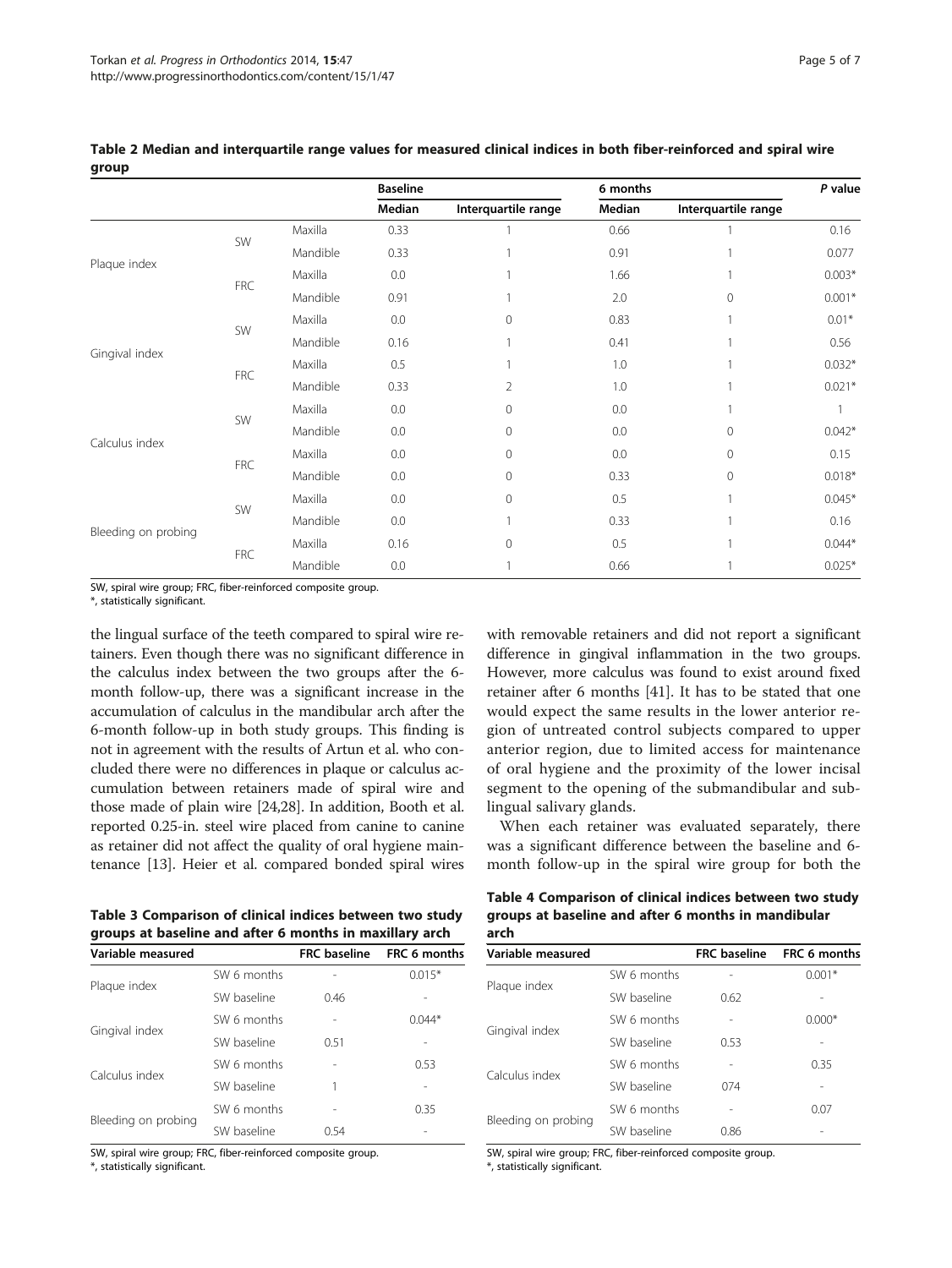|                     |            |          | <b>Baseline</b> |                     | 6 months |                     | P value  |
|---------------------|------------|----------|-----------------|---------------------|----------|---------------------|----------|
|                     |            |          | Median          | Interquartile range | Median   | Interquartile range |          |
| Plaque index        |            | Maxilla  | 0.33            |                     | 0.66     |                     | 0.16     |
|                     | SW         | Mandible | 0.33            |                     | 0.91     |                     | 0.077    |
|                     | <b>FRC</b> | Maxilla  | 0.0             |                     | 1.66     |                     | $0.003*$ |
|                     |            | Mandible | 0.91            |                     | 2.0      | $\Omega$            | $0.001*$ |
| Gingival index      |            | Maxilla  | 0.0             | 0                   | 0.83     |                     | $0.01*$  |
|                     | SW         | Mandible | 0.16            |                     | 0.41     |                     | 0.56     |
|                     |            | Maxilla  | 0.5             |                     | 1.0      |                     | $0.032*$ |
|                     | <b>FRC</b> | Mandible | 0.33            | 2                   | 1.0      |                     | $0.021*$ |
| Calculus index      | SW         | Maxilla  | 0.0             | $\mathbf{0}$        | 0.0      |                     |          |
|                     |            | Mandible | 0.0             | $\mathbf{0}$        | 0.0      | 0                   | $0.042*$ |
|                     | <b>FRC</b> | Maxilla  | 0.0             | $\mathbf{0}$        | 0.0      | 0                   | 0.15     |
|                     |            | Mandible | 0.0             | $\mathbf{0}$        | 0.33     | 0                   | $0.018*$ |
| Bleeding on probing |            | Maxilla  | 0.0             | $\mathbf{0}$        | 0.5      |                     | $0.045*$ |
|                     | SW         | Mandible | 0.0             |                     | 0.33     |                     | 0.16     |
|                     | <b>FRC</b> | Maxilla  | 0.16            | $\Omega$            | 0.5      |                     | $0.044*$ |
|                     |            | Mandible | 0.0             |                     | 0.66     |                     | $0.025*$ |

<span id="page-4-0"></span>Table 2 Median and interquartile range values for measured clinical indices in both fiber-reinforced and spiral wire droup

SW, spiral wire group; FRC, fiber-reinforced composite group.

\*, statistically significant.

the lingual surface of the teeth compared to spiral wire retainers. Even though there was no significant difference in the calculus index between the two groups after the 6 month follow-up, there was a significant increase in the accumulation of calculus in the mandibular arch after the 6-month follow-up in both study groups. This finding is not in agreement with the results of Artun et al. who concluded there were no differences in plaque or calculus accumulation between retainers made of spiral wire and those made of plain wire [[24](#page-6-0),[28](#page-6-0)]. In addition, Booth et al. reported 0.25-in. steel wire placed from canine to canine as retainer did not affect the quality of oral hygiene maintenance [\[13\]](#page-6-0). Heier et al. compared bonded spiral wires with removable retainers and did not report a significant difference in gingival inflammation in the two groups. However, more calculus was found to exist around fixed retainer after 6 months [[41\]](#page-6-0). It has to be stated that one would expect the same results in the lower anterior region of untreated control subjects compared to upper anterior region, due to limited access for maintenance of oral hygiene and the proximity of the lower incisal segment to the opening of the submandibular and sublingual salivary glands.

When each retainer was evaluated separately, there was a significant difference between the baseline and 6 month follow-up in the spiral wire group for both the

Table 4 Comparison of clinical indices between two study groups at baseline and after 6 months in mandibular arch

| Variable measured   |             | <b>FRC</b> baseline | FRC 6 months |
|---------------------|-------------|---------------------|--------------|
|                     | SW 6 months |                     | $0.015*$     |
| Plaque index        | SW baseline | 0.46                |              |
|                     | SW 6 months |                     | $0.044*$     |
| Gingival index      | SW baseline | 0.51                |              |
| Calculus index      | SW 6 months |                     | 0.53         |
|                     | SW baseline | 1                   |              |
|                     | SW 6 months |                     | 0.35         |
| Bleeding on probing | SW baseline | 0.54                |              |

Table 3 Comparison of clinical indices between two study groups at baseline and after 6 months in maxillary arch

SW, spiral wire group; FRC, fiber-reinforced composite group.

\*, statistically significant.

| Variable measured   |             | <b>FRC</b> baseline | FRC 6 months |
|---------------------|-------------|---------------------|--------------|
|                     | SW 6 months |                     | $0.001*$     |
| Plaque index        | SW baseline | 0.62                |              |
|                     | SW 6 months |                     | $0.000*$     |
| Gingival index      | SW baseline | 0.53                |              |
| Calculus index      | SW 6 months |                     | 0.35         |
|                     | SW baseline | 074                 |              |
|                     | SW 6 months |                     | 0.07         |
| Bleeding on probing | SW baseline | 0.86                |              |

SW, spiral wire group; FRC, fiber-reinforced composite group.

\*, statistically significant.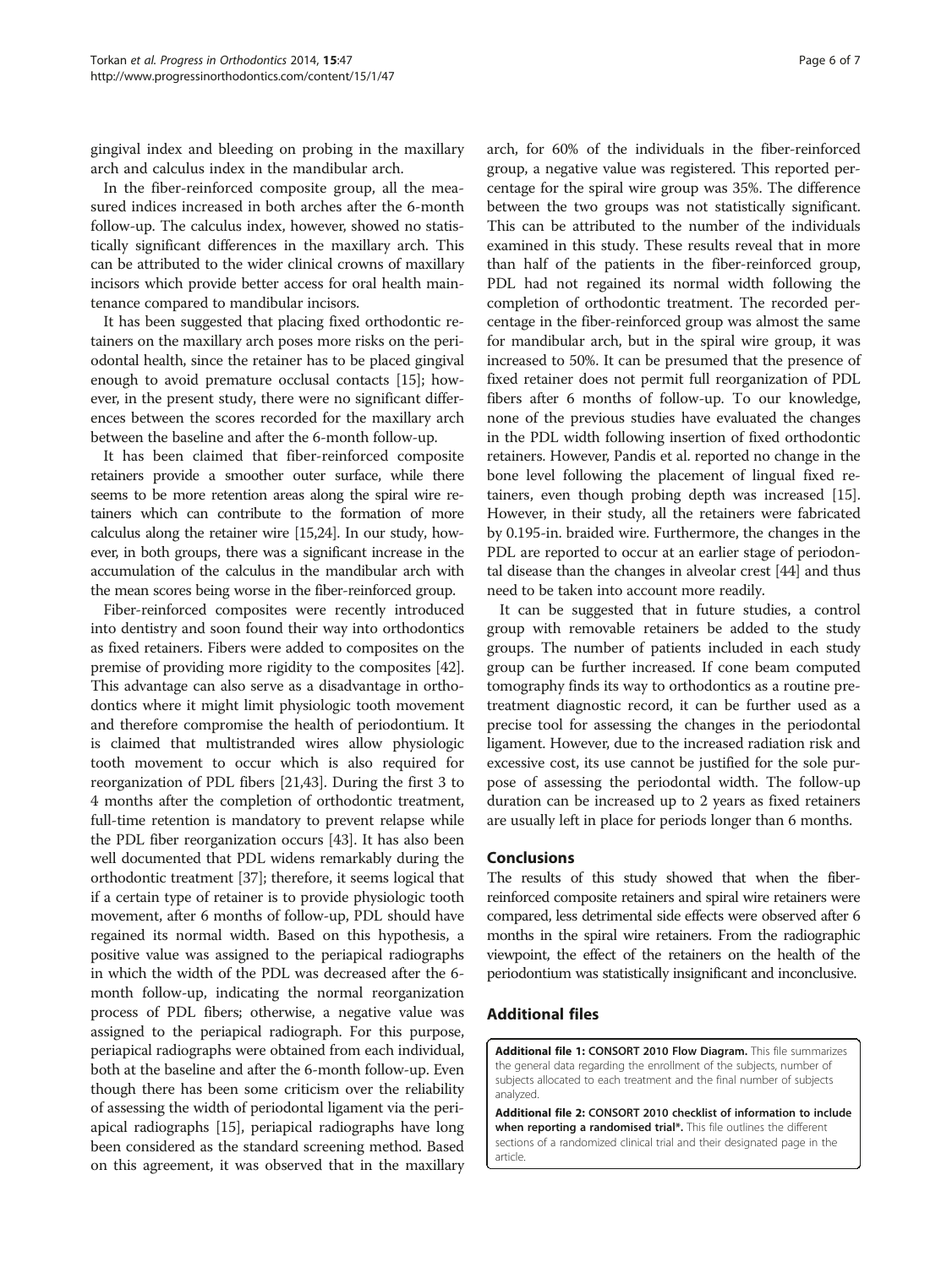<span id="page-5-0"></span>gingival index and bleeding on probing in the maxillary arch and calculus index in the mandibular arch.

In the fiber-reinforced composite group, all the measured indices increased in both arches after the 6-month follow-up. The calculus index, however, showed no statistically significant differences in the maxillary arch. This can be attributed to the wider clinical crowns of maxillary incisors which provide better access for oral health maintenance compared to mandibular incisors.

It has been suggested that placing fixed orthodontic retainers on the maxillary arch poses more risks on the periodontal health, since the retainer has to be placed gingival enough to avoid premature occlusal contacts [\[15\]](#page-6-0); however, in the present study, there were no significant differences between the scores recorded for the maxillary arch between the baseline and after the 6-month follow-up.

It has been claimed that fiber-reinforced composite retainers provide a smoother outer surface, while there seems to be more retention areas along the spiral wire retainers which can contribute to the formation of more calculus along the retainer wire [\[15,24\]](#page-6-0). In our study, however, in both groups, there was a significant increase in the accumulation of the calculus in the mandibular arch with the mean scores being worse in the fiber-reinforced group.

Fiber-reinforced composites were recently introduced into dentistry and soon found their way into orthodontics as fixed retainers. Fibers were added to composites on the premise of providing more rigidity to the composites [[42](#page-6-0)]. This advantage can also serve as a disadvantage in orthodontics where it might limit physiologic tooth movement and therefore compromise the health of periodontium. It is claimed that multistranded wires allow physiologic tooth movement to occur which is also required for reorganization of PDL fibers [\[21,43\]](#page-6-0). During the first 3 to 4 months after the completion of orthodontic treatment, full-time retention is mandatory to prevent relapse while the PDL fiber reorganization occurs [[43](#page-6-0)]. It has also been well documented that PDL widens remarkably during the orthodontic treatment [\[37\]](#page-6-0); therefore, it seems logical that if a certain type of retainer is to provide physiologic tooth movement, after 6 months of follow-up, PDL should have regained its normal width. Based on this hypothesis, a positive value was assigned to the periapical radiographs in which the width of the PDL was decreased after the 6 month follow-up, indicating the normal reorganization process of PDL fibers; otherwise, a negative value was assigned to the periapical radiograph. For this purpose, periapical radiographs were obtained from each individual, both at the baseline and after the 6-month follow-up. Even though there has been some criticism over the reliability of assessing the width of periodontal ligament via the periapical radiographs [\[15\]](#page-6-0), periapical radiographs have long been considered as the standard screening method. Based on this agreement, it was observed that in the maxillary

arch, for 60% of the individuals in the fiber-reinforced group, a negative value was registered. This reported percentage for the spiral wire group was 35%. The difference between the two groups was not statistically significant. This can be attributed to the number of the individuals examined in this study. These results reveal that in more than half of the patients in the fiber-reinforced group, PDL had not regained its normal width following the completion of orthodontic treatment. The recorded percentage in the fiber-reinforced group was almost the same for mandibular arch, but in the spiral wire group, it was increased to 50%. It can be presumed that the presence of fixed retainer does not permit full reorganization of PDL fibers after 6 months of follow-up. To our knowledge, none of the previous studies have evaluated the changes in the PDL width following insertion of fixed orthodontic retainers. However, Pandis et al. reported no change in the bone level following the placement of lingual fixed retainers, even though probing depth was increased [[15](#page-6-0)]. However, in their study, all the retainers were fabricated by 0.195-in. braided wire. Furthermore, the changes in the PDL are reported to occur at an earlier stage of periodontal disease than the changes in alveolar crest [\[44\]](#page-6-0) and thus need to be taken into account more readily.

It can be suggested that in future studies, a control group with removable retainers be added to the study groups. The number of patients included in each study group can be further increased. If cone beam computed tomography finds its way to orthodontics as a routine pretreatment diagnostic record, it can be further used as a precise tool for assessing the changes in the periodontal ligament. However, due to the increased radiation risk and excessive cost, its use cannot be justified for the sole purpose of assessing the periodontal width. The follow-up duration can be increased up to 2 years as fixed retainers are usually left in place for periods longer than 6 months.

### Conclusions

The results of this study showed that when the fiberreinforced composite retainers and spiral wire retainers were compared, less detrimental side effects were observed after 6 months in the spiral wire retainers. From the radiographic viewpoint, the effect of the retainers on the health of the periodontium was statistically insignificant and inconclusive.

## Additional files

[Additional file 1:](http://www.biomedcentral.com/content/supplementary/40510_2014_47_MOESM1_ESM.pdf) CONSORT 2010 Flow Diagram. This file summarizes the general data regarding the enrollment of the subjects, number of subjects allocated to each treatment and the final number of subjects analyzed.

[Additional file 2:](http://www.biomedcentral.com/content/supplementary/40510_2014_47_MOESM2_ESM.pdf) CONSORT 2010 checklist of information to include when reporting a randomised trial\*. This file outlines the different sections of a randomized clinical trial and their designated page in the article.